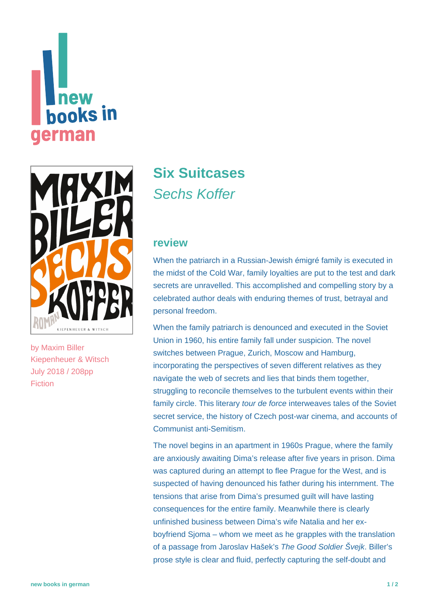# **new** hooks in erman



by [Maxim Biller](https://www.new-books-in-german.com/recommendations/?searchInput=Maxim%20Biller) Kiepenheuer & Witsch July 2018 / 208pp Fiction

## **[Six Suitcases](https://www.new-books-in-german.com/recommendations/six-suitcases/)** Sechs Koffer

#### **review**

When the patriarch in a Russian-Jewish émigré family is executed in the midst of the Cold War, family loyalties are put to the test and dark secrets are unravelled. This accomplished and compelling story by a celebrated author deals with enduring themes of trust, betrayal and personal freedom.

When the family patriarch is denounced and executed in the Soviet Union in 1960, his entire family fall under suspicion. The novel switches between Prague, Zurich, Moscow and Hamburg, incorporating the perspectives of seven different relatives as they navigate the web of secrets and lies that binds them together, struggling to reconcile themselves to the turbulent events within their family circle. This literary tour de force interweaves tales of the Soviet secret service, the history of Czech post-war cinema, and accounts of Communist anti-Semitism.

The novel begins in an apartment in 1960s Prague, where the family are anxiously awaiting Dima's release after five years in prison. Dima was captured during an attempt to flee Prague for the West, and is suspected of having denounced his father during his internment. The tensions that arise from Dima's presumed guilt will have lasting consequences for the entire family. Meanwhile there is clearly unfinished business between Dima's wife Natalia and her exboyfriend Sjoma – whom we meet as he grapples with the translation of a passage from Jaroslav Hašek's The Good Soldier Švejk. Biller's prose style is clear and fluid, perfectly capturing the self-doubt and